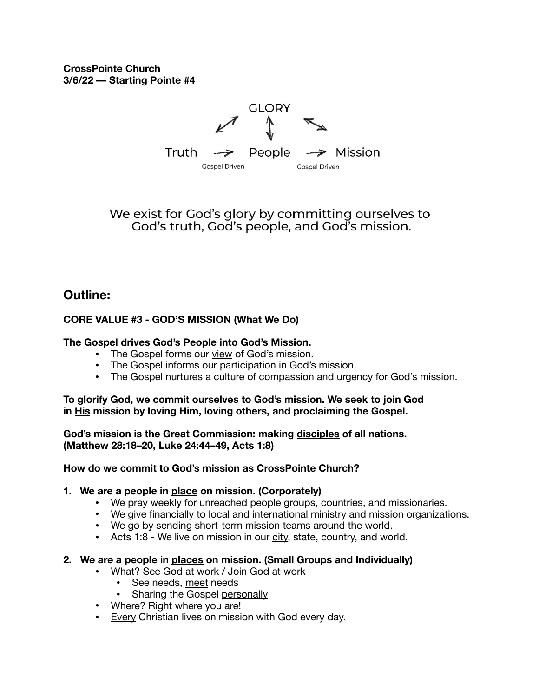**CrossPointe Church 3/6/22 –– Starting Pointe #4** 



We exist for God's glory by committing ourselves to God's truth, God's people, and God's mission.

## **Outline:**

### **CORE VALUE #3 - GOD'S MISSION (What We Do)**

#### **The Gospel drives God's People into God's Mission.**

- **•** The Gospel forms our view of God's mission.
- **•** The Gospel informs our participation in God's mission.
- **•** The Gospel nurtures a culture of compassion and urgency for God's mission.

**To glorify God, we commit ourselves to God's mission. We seek to join God in His mission by loving Him, loving others, and proclaiming the Gospel.** 

**God's mission is the Great Commission: making disciples of all nations. (Matthew 28:18–20, Luke 24:44–49, Acts 1:8)** 

#### **How do we commit to God's mission as CrossPointe Church?**

#### **1. We are a people in place on mission. (Corporately)**

- We pray weekly for *unreached* people groups, countries, and missionaries.
- We give financially to local and international ministry and mission organizations.
- We go by sending short-term mission teams around the world.
- Acts 1:8 We live on mission in our city, state, country, and world.

#### **2. We are a people in places on mission. (Small Groups and Individually)**

- What? See God at work / Join God at work
	- See needs, meet needs
	- Sharing the Gospel personally
- Where? Right where you are!
- Every Christian lives on mission with God every day.